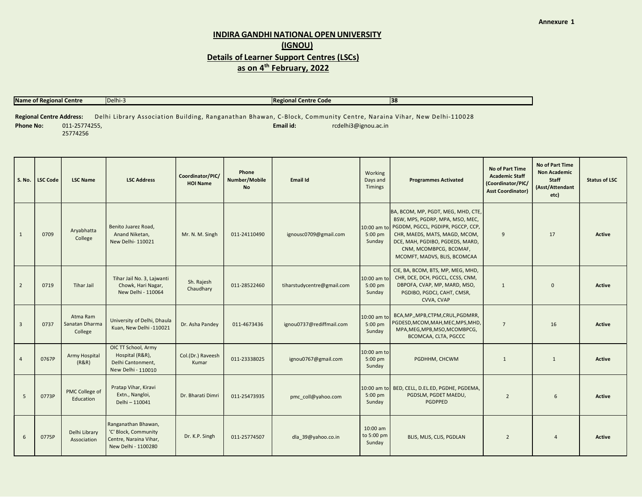## INDIRA GANDHI NATIONAL OPEN UNIVERSITY (IGNOU) Details of Learner Support Centres (LSCs) as on 4<sup>th</sup> February, 2022

| Name of Regional Centre         |               | IDelhi-3 | <b>Regional Centre Code</b>                                                                                        | <b>38</b> |  |  |  |  |  |
|---------------------------------|---------------|----------|--------------------------------------------------------------------------------------------------------------------|-----------|--|--|--|--|--|
|                                 |               |          |                                                                                                                    |           |  |  |  |  |  |
| <b>Regional Centre Address:</b> |               |          | Delhi Library Association Building, Ranganathan Bhawan, C-Block, Community Centre, Naraina Vihar, New Delhi-110028 |           |  |  |  |  |  |
| <b>Phone No:</b>                | 011-25774255, |          | Email id:<br>rcdelhi3@ignou.ac.in                                                                                  |           |  |  |  |  |  |

Phone No: 011-25774255, 25774256

|                | S. No.   LSC Code | <b>LSC Name</b>                       | <b>LSC Address</b>                                                                           | Coordinator/PIC/<br><b>HOI Name</b> | Phone<br>Number/Mobile<br><b>No</b> | Email Id                   | Working<br>Days and<br>Timings   | <b>Programmes Activated</b>                                                                                                                                                                                                                          | <b>No of Part Time</b><br><b>Academic Staff</b><br>(Coordinator/PIC/<br><b>Asst Coordinator)</b> | No of Part Time<br><b>Non Academic</b><br>Staff<br>(Asst/Attendant<br>etc) | <b>Status of LSC</b> |
|----------------|-------------------|---------------------------------------|----------------------------------------------------------------------------------------------|-------------------------------------|-------------------------------------|----------------------------|----------------------------------|------------------------------------------------------------------------------------------------------------------------------------------------------------------------------------------------------------------------------------------------------|--------------------------------------------------------------------------------------------------|----------------------------------------------------------------------------|----------------------|
| $\mathbf{1}$   | 0709              | Aryabhatta<br>College                 | Benito Juarez Road.<br>Anand Niketan.<br>New Delhi- 110021                                   | Mr. N. M. Singh                     | 011-24110490                        | ignousc0709@gmail.com      | $5:00$ pm<br>Sunday              | BA, BCOM, MP, PGDT, MEG, MHD, CTE,<br>BSW, MPS, PGDRP, MPA, MSO, MEC,<br>10:00 am to PGDDM, PGCCL, PGDIPR, PGCCP, CCP,<br>CHR, MAEDS, MATS, MAGD, MCOM,<br>DCE, MAH, PGDIBO, PGDEDS, MARD,<br>CNM, MCOMBPCG, BCOMAF,<br>MCOMFT, MADVS, BLIS, BCOMCAA | 9                                                                                                | 17                                                                         | Active               |
| $\overline{2}$ | 0719              | <b>Tihar Jail</b>                     | Tihar Jail No. 3, Lajwanti<br>Chowk, Hari Nagar,<br>New Delhi - 110064                       | Sh. Rajesh<br>Chaudhary             | 011-28522460                        | tiharstudycentre@gmail.com | 10:00 am to<br>5:00 pm<br>Sunday | CIE, BA, BCOM, BTS, MP, MEG, MHD,<br>CHR, DCE, DCH, PGCCL, CCSS, CNM,<br>DBPOFA, CVAP, MP, MARD, MSO,<br>PGDIBO, PGDCJ, CAHT, CMSR,<br>CVVA, CVAP                                                                                                    | $\overline{1}$                                                                                   | $\Omega$                                                                   | Active               |
| $\overline{3}$ | 0737              | Atma Ram<br>Sanatan Dharma<br>College | University of Delhi, Dhaula<br>Kuan, New Delhi -110021                                       | Dr. Asha Pandey                     | 011-4673436                         | ignou0737@rediffmail.com   | 10:00 am to<br>5:00 pm<br>Sundav | BCA, MP,, MPB, CTPM, CRUL, PGDMRR,<br>PGDESD, MCOM, MAH, MEC, MPS, MHD,<br>MPA, MEG, MPB, MSO, MCOMBPCG,<br>BCOMCAA, CLTA, PGCCC                                                                                                                     | $\overline{7}$                                                                                   | 16                                                                         | <b>Active</b>        |
| $\overline{4}$ | 0767P             | Army Hospital<br>(R&R)                | OIC TT School, Army<br>Hospital (R&R),<br>Delhi Cantonment.<br>New Delhi - 110010            | Col.(Dr.) Raveesh<br>Kumar          | 011-23338025                        | ignou0767@gmail.com        | 10:00 am to<br>5:00 pm<br>Sunday | PGDHHM, CHCWM                                                                                                                                                                                                                                        | $\mathbf{1}$                                                                                     | 1                                                                          | Active               |
| 5              | 0773P             | PMC College of<br>Education           | Pratap Vihar, Kiravi<br>Extn., Nangloi,<br>Delhi - 110041                                    | Dr. Bharati Dimri                   | 011-25473935                        | pmc coll@yahoo.com         | $5:00$ pm<br>Sunday              | 10:00 am to   BED, CELL, D.EL.ED, PGDHE, PGDEMA,<br>PGDSLM, PGDET MAEDU,<br>PGDPPED                                                                                                                                                                  | $\overline{2}$                                                                                   | 6                                                                          | Active               |
| 6              | 0775P             | Delhi Library<br>Association          | Ranganathan Bhawan,<br>'C' Block, Community<br>Centre, Naraina Vihar,<br>New Delhi - 1100280 | Dr. K.P. Singh                      | 011-25774507                        | dla 39@yahoo.co.in         | 10:00 am<br>to 5:00 pm<br>Sunday | BLIS, MLIS, CLIS, PGDLAN                                                                                                                                                                                                                             | 2                                                                                                | $\overline{4}$                                                             | <b>Active</b>        |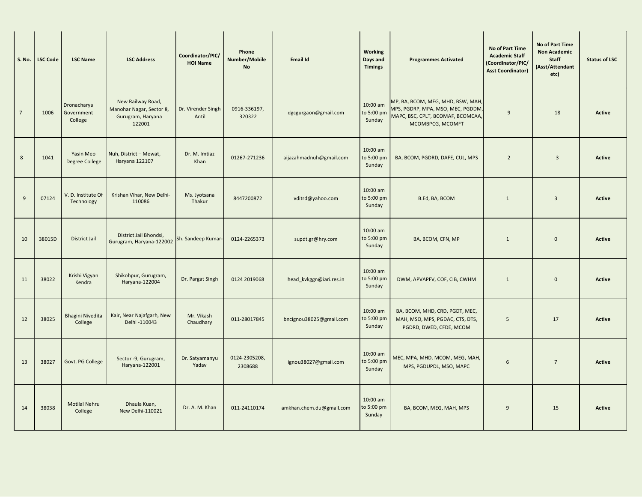| <b>S. No.</b>  | <b>LSC Code</b> | <b>LSC Name</b>                      | <b>LSC Address</b>                                                           | Coordinator/PIC/<br><b>HOI Name</b> | Phone<br>Number/Mobile<br><b>No</b> | Email Id                 | Working<br>Days and<br><b>Timings</b> | <b>Programmes Activated</b>                                                                                                     | No of Part Time<br><b>Academic Staff</b><br>(Coordinator/PIC/<br><b>Asst Coordinator)</b> | <b>No of Part Time</b><br><b>Non Academic</b><br><b>Staff</b><br>(Asst/Attendant<br>etc) | <b>Status of LSC</b> |  |
|----------------|-----------------|--------------------------------------|------------------------------------------------------------------------------|-------------------------------------|-------------------------------------|--------------------------|---------------------------------------|---------------------------------------------------------------------------------------------------------------------------------|-------------------------------------------------------------------------------------------|------------------------------------------------------------------------------------------|----------------------|--|
| $\overline{7}$ | 1006            | Dronacharya<br>Government<br>College | New Railway Road,<br>Manohar Nagar, Sector 8,<br>Gurugram, Haryana<br>122001 | Dr. Virender Singh<br>Antil         | 0916-336197,<br>320322              | dgcgurgaon@gmail.com     | 10:00 am<br>to 5:00 pm<br>Sunday      | MP, BA, BCOM, MEG, MHD, BSW, MAH,<br>MPS, PGDRP, MPA, MSO, MEC, PGDDM,<br>MAPC, BSC, CPLT, BCOMAF, BCOMCAA,<br>MCOMBPCG, MCOMFT | $\mathsf{q}$                                                                              | 18                                                                                       | <b>Active</b>        |  |
| 8              | 1041            | Yasin Meo<br>Degree College          | Nuh, District - Mewat,<br>Haryana 122107                                     | Dr. M. Imtiaz<br>Khan               | 01267-271236                        | aijazahmadnuh@gmail.com  | 10:00 am<br>to 5:00 pm<br>Sunday      | BA, BCOM, PGDRD, DAFE, CUL, MPS                                                                                                 | $\overline{2}$                                                                            | $\overline{\mathbf{3}}$                                                                  | <b>Active</b>        |  |
| 9              | 07124           | V.D. Institute Of<br>Technology      | Krishan Vihar, New Delhi-<br>110086                                          | Ms. Jyotsana<br>Thakur              | 8447200872                          | vditrd@yahoo.com         | 10:00 am<br>to 5:00 pm<br>Sunday      | B.Ed, BA, BCOM                                                                                                                  | $\mathbf{1}$                                                                              | $\overline{\mathbf{3}}$                                                                  | Active               |  |
| 10             | 38015D          | <b>District Jail</b>                 | District Jail Bhondsi,<br>Gurugram, Haryana-122002                           | Sh. Sandeep Kumar-                  | 0124-2265373                        | supdt.gr@hry.com         | 10:00 am<br>to 5:00 pm<br>Sunday      | BA, BCOM, CFN, MP                                                                                                               | $\overline{1}$                                                                            | $\Omega$                                                                                 | Active               |  |
| 11             | 38022           | Krishi Vigyan<br>Kendra              | Shikohpur, Gurugram,<br>Haryana-122004                                       | Dr. Pargat Singh                    | 0124 2019068                        | head_kvkggn@iari.res.in  | 10:00 am<br>to 5:00 pm<br>Sunday      | DWM, APVAPFV, COF, CIB, CWHM                                                                                                    | $\overline{1}$                                                                            | $\Omega$                                                                                 | Active               |  |
| 12             | 38025           | <b>Bhagini Nivedita</b><br>College   | Kair, Near Najafgarh, New<br>Delhi -110043                                   | Mr. Vikash<br>Chaudhary             | 011-28017845                        | bncignou38025@gmail.com  | 10:00 am<br>to 5:00 pm<br>Sunday      | BA, BCOM, MHD, CRD, PGDT, MEC,<br>MAH, MSO, MPS, PGDAC, CTS, DTS,<br>PGDRD, DWED, CFDE, MCOM                                    | 5                                                                                         | 17                                                                                       | Active               |  |
| 13             | 38027           | Govt. PG College                     | Sector -9, Gurugram,<br>Haryana-122001                                       | Dr. Satyamanyu<br>Yadav             | 0124-2305208,<br>2308688            | ignou38027@gmail.com     | 10:00 am<br>to 5:00 pm<br>Sunday      | MEC, MPA, MHD, MCOM, MEG, MAH,<br>MPS, PGDUPDL, MSO, MAPC                                                                       | 6                                                                                         | $\overline{7}$                                                                           | <b>Active</b>        |  |
| 14             | 38038           | <b>Motilal Nehru</b><br>College      | Dhaula Kuan,<br>New Delhi-110021                                             | Dr. A. M. Khan                      | 011-24110174                        | amkhan.chem.du@gmail.com | 10:00 am<br>to 5:00 pm<br>Sunday      | BA, BCOM, MEG, MAH, MPS                                                                                                         | 9                                                                                         | 15                                                                                       | <b>Active</b>        |  |